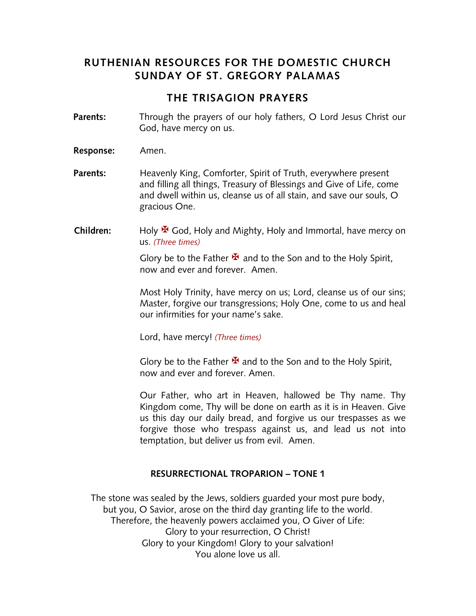# **RUTHENIAN RESOURCES FOR THE DOMESTIC CHURCH SUNDAY OF ST. GREGORY PALAMAS**

# **THE TRISAGION PRAYERS**

- **Parents:** Through the prayers of our holy fathers, O Lord Jesus Christ our God, have mercy on us.
- **Response:** Amen.
- **Parents:** Heavenly King, Comforter, Spirit of Truth, everywhere present and filling all things, Treasury of Blessings and Give of Life, come and dwell within us, cleanse us of all stain, and save our souls, O gracious One.
- **Children:** Holy <sup>★</sup> God, Holy and Mighty, Holy and Immortal, have mercy on us. *(Three times)*

Glory be to the Father  $\mathbf{\mathbf{\mathcal{F}}}$  and to the Son and to the Holy Spirit, now and ever and forever. Amen.

Most Holy Trinity, have mercy on us; Lord, cleanse us of our sins; Master, forgive our transgressions; Holy One, come to us and heal our infirmities for your name's sake.

Lord, have mercy! *(Three times)*

Glory be to the Father  $\mathbf{\Sigma}$  and to the Son and to the Holy Spirit, now and ever and forever. Amen.

Our Father, who art in Heaven, hallowed be Thy name. Thy Kingdom come, Thy will be done on earth as it is in Heaven. Give us this day our daily bread, and forgive us our trespasses as we forgive those who trespass against us, and lead us not into temptation, but deliver us from evil. Amen.

#### **RESURRECTIONAL TROPARION – TONE 1**

The stone was sealed by the Jews, soldiers guarded your most pure body, but you, O Savior, arose on the third day granting life to the world. Therefore, the heavenly powers acclaimed you, O Giver of Life: Glory to your resurrection, O Christ! Glory to your Kingdom! Glory to your salvation! You alone love us all.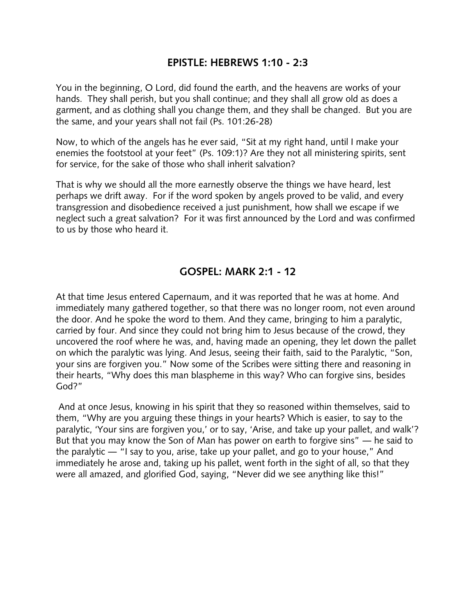## **EPISTLE: HEBREWS 1:10 - 2:3**

You in the beginning, O Lord, did found the earth, and the heavens are works of your hands. They shall perish, but you shall continue; and they shall all grow old as does a garment, and as clothing shall you change them, and they shall be changed. But you are the same, and your years shall not fail (Ps. 101:26-28)

Now, to which of the angels has he ever said, "Sit at my right hand, until I make your enemies the footstool at your feet" (Ps. 109:1)? Are they not all ministering spirits, sent for service, for the sake of those who shall inherit salvation?

That is why we should all the more earnestly observe the things we have heard, lest perhaps we drift away. For if the word spoken by angels proved to be valid, and every transgression and disobedience received a just punishment, how shall we escape if we neglect such a great salvation? For it was first announced by the Lord and was confirmed to us by those who heard it.

### **GOSPEL: MARK 2:1 - 12**

At that time Jesus entered Capernaum, and it was reported that he was at home. And immediately many gathered together, so that there was no longer room, not even around the door. And he spoke the word to them. And they came, bringing to him a paralytic, carried by four. And since they could not bring him to Jesus because of the crowd, they uncovered the roof where he was, and, having made an opening, they let down the pallet on which the paralytic was lying. And Jesus, seeing their faith, said to the Paralytic, "Son, your sins are forgiven you." Now some of the Scribes were sitting there and reasoning in their hearts, "Why does this man blaspheme in this way? Who can forgive sins, besides God?"

And at once Jesus, knowing in his spirit that they so reasoned within themselves, said to them, "Why are you arguing these things in your hearts? Which is easier, to say to the paralytic, 'Your sins are forgiven you,' or to say, 'Arise, and take up your pallet, and walk'? But that you may know the Son of Man has power on earth to forgive sins" ― he said to the paralytic ― "I say to you, arise, take up your pallet, and go to your house," And immediately he arose and, taking up his pallet, went forth in the sight of all, so that they were all amazed, and glorified God, saying, "Never did we see anything like this!"